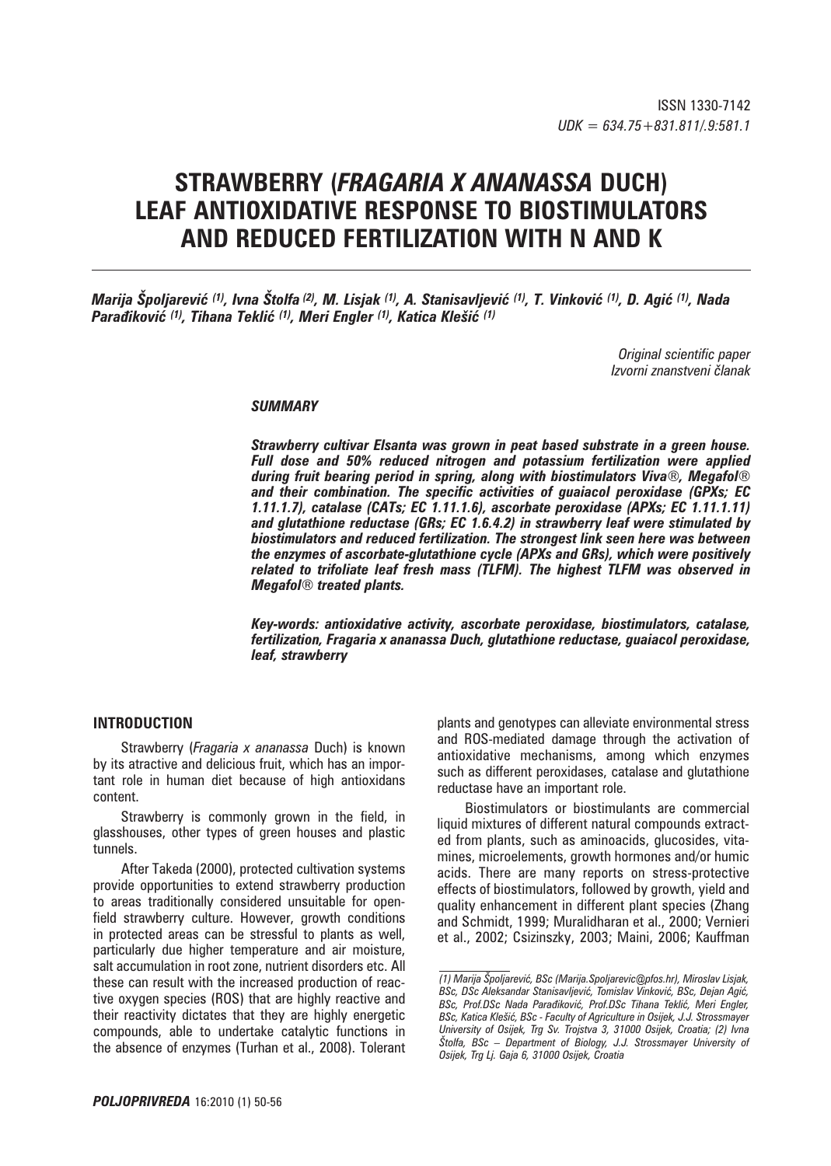# **STRAWBERRY (***FRAGARIA X ANANASSA* **DUCH) LEAF ANTIOXIDATIVE RESPONSE TO BIOSTIMULATORS AND REDUCED FERTILIZATION WITH N AND K**

*Marija Špoljarević (1), Ivna Štolfa (2), M. Lisjak (1), A. Stanisavljević (1), T. Vinković (1), D. Agić (1), Nada Parađiković (1), Tihana Teklić (1), Meri Engler (1), Katica Klešić (1)*

> *Original scientific paper Izvorni znanstveni ~lanak*

### *SUMMARY*

*Strawberry cultivar Elsanta was grown in peat based substrate in a green house. Full dose and 50% reduced nitrogen and potassium fertilization were applied during fruit bearing period in spring, along with biostimulators Viva®, Megafol® and their combination. The specific activities of guaiacol peroxidase (GPXs; EC 1.11.1.7), catalase (CATs; EC 1.11.1.6), ascorbate peroxidase (APXs; EC 1.11.1.11) and glutathione reductase (GRs; EC 1.6.4.2) in strawberry leaf were stimulated by biostimulators and reduced fertilization. The strongest link seen here was between the enzymes of ascorbate-glutathione cycle (APXs and GRs), which were positively related to trifoliate leaf fresh mass (TLFM). The highest TLFM was observed in Megafol® treated plants.* 

*Key-words: antioxidative activity, ascorbate peroxidase, biostimulators, catalase, fertilization, Fragaria x ananassa Duch, glutathione reductase, guaiacol peroxidase, leaf, strawberry*

# **INTRODUCTION**

Strawberry (*Fragaria x ananassa* Duch) is known by its atractive and delicious fruit, which has an important role in human diet because of high antioxidans content.

Strawberry is commonly grown in the field, in glasshouses, other types of green houses and plastic tunnels.

After Takeda (2000), protected cultivation systems provide opportunities to extend strawberry production to areas traditionally considered unsuitable for openfield strawberry culture. However, growth conditions in protected areas can be stressful to plants as well, particularly due higher temperature and air moisture, salt accumulation in root zone, nutrient disorders etc. All these can result with the increased production of reactive oxygen species (ROS) that are highly reactive and their reactivity dictates that they are highly energetic compounds, able to undertake catalytic functions in the absence of enzymes (Turhan et al., 2008). Tolerant plants and genotypes can alleviate environmental stress and ROS-mediated damage through the activation of antioxidative mechanisms, among which enzymes such as different peroxidases, catalase and glutathione reductase have an important role.

Biostimulators or biostimulants are commercial liquid mixtures of different natural compounds extracted from plants, such as aminoacids, glucosides, vitamines, microelements, growth hormones and/or humic acids. There are many reports on stress-protective effects of biostimulators, followed by growth, yield and quality enhancement in different plant species (Zhang and Schmidt, 1999; Muralidharan et al., 2000; Vernieri et al., 2002; Csizinszky, 2003; Maini, 2006; Kauffman

*<sup>(1)</sup> Marija [poljarevi}, BSc (Marija.Spoljarevic@pfos.hr), Miroslav Lisjak,*  BSc, DSc Aleksandar Stanisavljević, Tomislav Vinković, BSc, Dejan Agić, **BSc, Prof.DSc Nada Paradiković, Prof.DSc Tihana Teklić, Meri Engler,** *BSc, Katica Kle{i}, BSc - Faculty of Agriculture in Osijek, J.J. Strossmayer University of Osijek, Trg Sv. Trojstva 3, 31000 Osijek, Croatia; (2) Ivna [tolfa, BSc – Department of Biology, J.J. Strossmayer University of Osijek, Trg Lj. Gaja 6, 31000 Osijek, Croatia*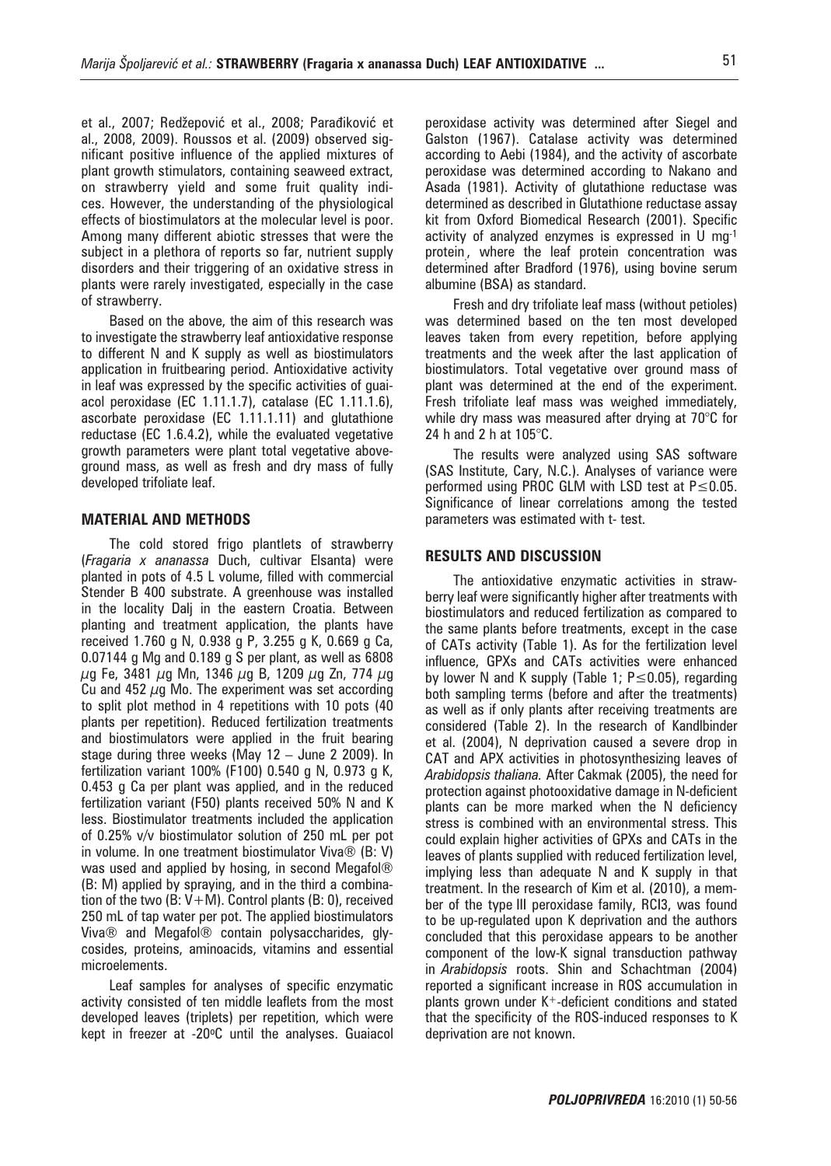et al., 2007; Redžepović et al., 2008; Parađiković et al., 2008, 2009). Roussos et al. (2009) observed significant positive influence of the applied mixtures of plant growth stimulators, containing seaweed extract, on strawberry yield and some fruit quality indices. However, the understanding of the physiological effects of biostimulators at the molecular level is poor. Among many different abiotic stresses that were the subject in a plethora of reports so far, nutrient supply disorders and their triggering of an oxidative stress in plants were rarely investigated, especially in the case of strawberry.

Based on the above, the aim of this research was to investigate the strawberry leaf antioxidative response to different N and K supply as well as biostimulators application in fruitbearing period. Antioxidative activity in leaf was expressed by the specific activities of guaiacol peroxidase (EC 1.11.1.7), catalase (EC 1.11.1.6), ascorbate peroxidase (EC 1.11.1.11) and glutathione reductase (EC 1.6.4.2), while the evaluated vegetative growth parameters were plant total vegetative aboveground mass, as well as fresh and dry mass of fully developed trifoliate leaf.

### **MATERIAL AND METHODS**

The cold stored frigo plantlets of strawberry (*Fragaria x ananassa* Duch, cultivar Elsanta) were planted in pots of 4.5 L volume, filled with commercial Stender B 400 substrate. A greenhouse was installed in the locality Dalj in the eastern Croatia. Between planting and treatment application, the plants have received 1.760 g N, 0.938 g P, 3.255 g K, 0.669 g Ca, 0.07144 g Mg and 0.189 g S per plant, as well as 6808  $\mu$ g Fe, 3481  $\mu$ g Mn, 1346  $\mu$ g B, 1209  $\mu$ g Zn, 774  $\mu$ g Cu and 452  $\mu$ g Mo. The experiment was set according to split plot method in 4 repetitions with 10 pots (40 plants per repetition). Reduced fertilization treatments and biostimulators were applied in the fruit bearing stage during three weeks (May 12 – June 2 2009). In fertilization variant 100% (F100) 0.540 g N, 0.973 g K, 0.453 g Ca per plant was applied, and in the reduced fertilization variant (F50) plants received 50% N and K less. Biostimulator treatments included the application of 0.25% v/v biostimulator solution of 250 mL per pot in volume. In one treatment biostimulator Viva® (B: V) was used and applied by hosing, in second Megafol® (B: M) applied by spraying, and in the third a combination of the two  $(B: V+M)$ . Control plants  $(B: 0)$ , received 250 mL of tap water per pot. The applied biostimulators Viva® and Megafol® contain polysaccharides, glycosides, proteins, aminoacids, vitamins and essential microelements.

Leaf samples for analyses of specific enzymatic activity consisted of ten middle leaflets from the most developed leaves (triplets) per repetition, which were kept in freezer at -20°C until the analyses. Guaiacol

peroxidase activity was determined after Siegel and Galston (1967). Catalase activity was determined according to Aebi (1984), and the activity of ascorbate peroxidase was determined according to Nakano and Asada (1981). Activity of glutathione reductase was determined as described in Glutathione reductase assay kit from Oxford Biomedical Research (2001). Specific activity of analyzed enzymes is expressed in U mg-1 protein. , where the leaf protein concentration was determined after Bradford (1976), using bovine serum albumine (BSA) as standard.

Fresh and dry trifoliate leaf mass (without petioles) was determined based on the ten most developed leaves taken from every repetition, before applying treatments and the week after the last application of biostimulators. Total vegetative over ground mass of plant was determined at the end of the experiment. Fresh trifoliate leaf mass was weighed immediately, while dry mass was measured after drying at 70°C for 24 h and 2 h at 105°C.

The results were analyzed using SAS software (SAS Institute, Cary, N.C.). Analyses of variance were performed using PROC GLM with LSD test at P ≤ 0.05. Significance of linear correlations among the tested parameters was estimated with t- test.

#### **RESULTS AND DISCUSSION**

The antioxidative enzymatic activities in strawberry leaf were significantly higher after treatments with biostimulators and reduced fertilization as compared to the same plants before treatments, except in the case of CATs activity (Table 1). As for the fertilization level influence, GPXs and CATs activities were enhanced by lower N and K supply (Table 1; P≤0.05), regarding both sampling terms (before and after the treatments) as well as if only plants after receiving treatments are considered (Table 2). In the research of Kandlbinder et al. (2004), N deprivation caused a severe drop in CAT and APX activities in photosynthesizing leaves of *Arabidopsis thaliana.* After Cakmak (2005), the need for protection against photooxidative damage in N-deficient plants can be more marked when the N deficiency stress is combined with an environmental stress. This could explain higher activities of GPXs and CATs in the leaves of plants supplied with reduced fertilization level, implying less than adequate N and K supply in that treatment. In the research of Kim et al. (2010), a member of the type III peroxidase family, RCI3, was found to be up-regulated upon K deprivation and the authors concluded that this peroxidase appears to be another component of the low-K signal transduction pathway in *Arabidopsis* roots. Shin and Schachtman (2004) reported a significant increase in ROS accumulation in plants grown under  $K^+$ -deficient conditions and stated that the specificity of the ROS-induced responses to K deprivation are not known.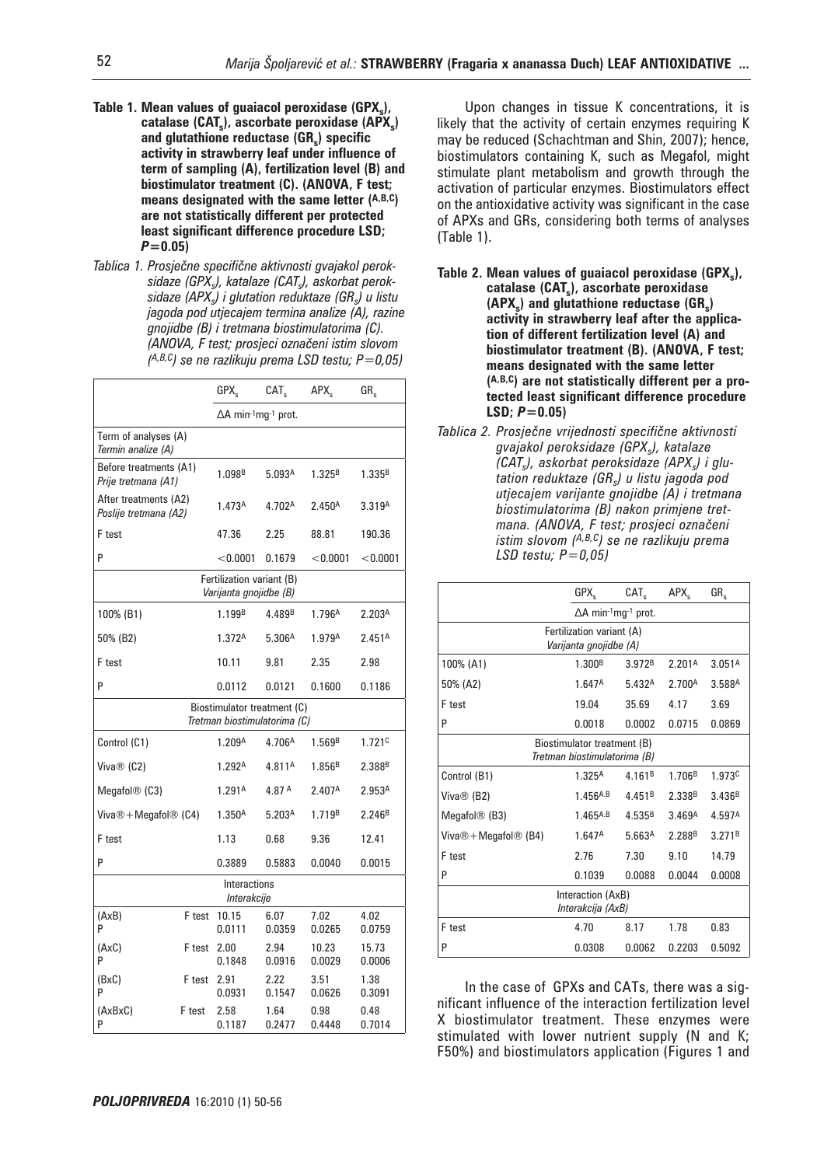- Table 1. Mean values of guaiacol peroxidase (GPX<sub>s</sub>), catalase (CAT<sub>s</sub>), ascorbate peroxidase (APX<sub>s</sub>) and glutathione reductase (GR<sub>s</sub>) specific **activity in strawberry leaf under influence of term of sampling (A), fertilization level (B) and biostimulator treatment (C). (ANOVA, F test; means designated with the same letter (A,B,C) are not statistically different per protected least significant difference procedure LSD;**  *P***=0.05)**
- Tablica 1. Prosječne specifične aktivnosti gvajakol peroksidaze (GPX<sub>s</sub>), katalaze (CATs), askorbat peroksidaze (APX<sub>s</sub>) *i glutation reduktaze (GR<sub>s</sub>) u listu jagoda pod utjecajem termina analize (A), razine gnojidbe (B) i tretmana biostimulatorima (C). (ANOVA, F test; prosjeci ozna~eni istim slovom (A,B,C) se ne razlikuju prema LSD testu; P=0,05)*

|                                                             |                                                     | GPX <sub>s</sub>           | CAT <sub>s</sub>   | APX <sub>s</sub>   | $GR_s$             |
|-------------------------------------------------------------|-----------------------------------------------------|----------------------------|--------------------|--------------------|--------------------|
|                                                             |                                                     | $\Delta A$ min-1mq-1 prot. |                    |                    |                    |
| Term of analyses (A)<br>Termin analize (A)                  |                                                     |                            |                    |                    |                    |
| Before treatments (A1)<br>Prije tretmana (A1)               |                                                     | 1.098 <sup>B</sup>         | 5.093A             | 1.325 <sup>B</sup> | 1.335B             |
| After treatments (A2)<br>Poslije tretmana (A2)              |                                                     | 1.473A                     | 4.702A             | 2.450A             | 3.319A             |
| F test                                                      |                                                     | 47.36                      | 2.25               | 88.81              | 190.36             |
| P                                                           |                                                     | < 0.0001                   | 0.1679             | $<$ 0.0001         | < 0.0001           |
|                                                             | Fertilization variant (B)<br>Varijanta gnojidbe (B) |                            |                    |                    |                    |
| 100% (B1)                                                   |                                                     | 1.199 <sup>B</sup>         | 4.489 <sup>B</sup> | 1.796A             | 2.203A             |
| 50% (B2)                                                    |                                                     | 1.372A                     | 5.306A             | 1.979A             | 2.451 <sup>A</sup> |
| F test                                                      |                                                     | 10.11                      | 9.81               | 2.35               | 2.98               |
| P                                                           |                                                     | 0.0112                     | 0.0121             | 0.1600             | 0.1186             |
| Biostimulator treatment (C)<br>Tretman biostimulatorima (C) |                                                     |                            |                    |                    |                    |
| Control (C1)                                                |                                                     | 1.209A                     | 4.706A             | 1.569B             | 1.721c             |
| Viva $\otimes$ (C2)                                         |                                                     | 1.292A                     | 4.811A             | 1.856B             | 2.388 <sup>B</sup> |
| Megafol $\circledR$ (C3)                                    |                                                     | 1.291 <sup>A</sup>         | 4.87 A             | 2.407 <sup>A</sup> | 2.953A             |
| Viva $\circledR$ + Megafol $\circledR$ (C4)                 |                                                     | 1.350 <sup>A</sup>         | 5.203 <sup>A</sup> | 1.719B             | 2.246 <sup>B</sup> |
| F test                                                      |                                                     | 1.13                       | 0.68               | 9.36               | 12.41              |
| P                                                           |                                                     | 0.3889                     | 0.5883             | 0.0040             | 0.0015             |
| Interactions<br>Interakcije                                 |                                                     |                            |                    |                    |                    |
| (AxB)<br>P                                                  | F test                                              | 10.15<br>0.0111            | 6.07<br>0.0359     | 7.02<br>0.0265     | 4.02<br>0.0759     |
| $(A \times C)$<br>P                                         | F test                                              | 2.00<br>0.1848             | 2.94<br>0.0916     | 10.23<br>0.0029    | 15.73<br>0.0006    |
| (BxC)<br>P                                                  | F test                                              | 2.91<br>0.0931             | 2.22<br>0.1547     | 3.51<br>0.0626     | 1.38<br>0.3091     |
| (AxBxC)<br>P                                                | F test                                              | 2.58<br>0.1187             | 1.64<br>0.2477     | 0.98<br>0.4448     | 0.48<br>0.7014     |

Upon changes in tissue K concentrations, it is likely that the activity of certain enzymes requiring K may be reduced (Schachtman and Shin, 2007); hence, biostimulators containing K, such as Megafol, might stimulate plant metabolism and growth through the activation of particular enzymes. Biostimulators effect on the antioxidative activity was significant in the case of APXs and GRs, considering both terms of analyses (Table 1).

- Table 2. Mean values of guaiacol peroxidase (GPX<sub>s</sub>), **catalase (CATs), ascorbate peroxidase (APX<sub>s</sub>)** and glutathione reductase (GR<sub>s</sub>) **activity in strawberry leaf after the application of different fertilization level (A) and biostimulator treatment (B). (ANOVA, F test; means designated with the same letter (A,B,C) are not statistically different per a protected least significant difference procedure**   $LSD: P = 0.05$
- $Tablea$  2. Prosječne vrijednosti specifične aktivnosti  $g$ vajakol peroksidaze (GPX<sub>s</sub>), katalaze *(CAT<sub>s</sub>), askorbat peroksidaze (APX<sub>s</sub>) i glutation reduktaze (GRs) u listu jagoda pod utjecajem varijante gnojidbe (A) i tretmana biostimulatorima (B) nakon primjene tretmana. (ANOVA, F test; prosjeci označeni istim slovom (A,B,C) se ne razlikuju prema LSD testu; P=0,05)*

|                                                             | GPX <sub>s</sub>           | CAT <sub>s</sub>   | APX <sub>c</sub>   | $GR_{\rm c}$       |  |
|-------------------------------------------------------------|----------------------------|--------------------|--------------------|--------------------|--|
|                                                             | $\Delta A$ min-1mg-1 prot. |                    |                    |                    |  |
| Fertilization variant (A)<br>Varijanta gnojidbe (A)         |                            |                    |                    |                    |  |
| 100% (A1)                                                   | 1.300 <sup>B</sup>         | 3.972 <sup>B</sup> | 2.201A             | 3.051A             |  |
| 50% (A2)                                                    | 1.647A                     | 5.432A             | 2.700 <sup>A</sup> | 3.588A             |  |
| F test                                                      | 19.04                      | 35.69              | 4.17               | 3.69               |  |
| P                                                           | 0.0018                     | 0.0002             | 0.0715             | 0.0869             |  |
| Biostimulator treatment (B)<br>Tretman biostimulatorima (B) |                            |                    |                    |                    |  |
| Control (B1)                                                | 1.325A                     | 4.161 <sup>B</sup> | 1.706 <sup>B</sup> | 1.973 <sup>c</sup> |  |
| Viva $\circledR$ (B2)                                       | $1.456$ <sup>A.B</sup>     | 4.451 <sup>B</sup> | 2.338 <sup>B</sup> | 3.436 <sup>B</sup> |  |
| Megafol $\circledR$ (B3)                                    | $1.465$ <sup>A.B</sup>     | 4.535B             | 3.469 <sup>A</sup> | 4.597 <sup>A</sup> |  |
| Viva $\circledR$ + Megafol $\circledR$ (B4)                 | 1.647 <sup>A</sup>         | 5.663 <sup>A</sup> | 2.288 <sup>B</sup> | 3.271 <sup>B</sup> |  |
| F test                                                      | 2.76                       | 7.30               | 9.10               | 14.79              |  |
| P                                                           | 0.1039                     | 0.0088             | 0.0044             | 0.0008             |  |
| Interaction (AxB)<br>Interakcija (AxB)                      |                            |                    |                    |                    |  |
| F test                                                      | 4.70                       | 8.17               | 1.78               | 0.83               |  |
| P                                                           | 0.0308                     | 0.0062             | 0.2203             | 0.5092             |  |

In the case of GPXs and CATs, there was a significant influence of the interaction fertilization level X biostimulator treatment. These enzymes were stimulated with lower nutrient supply (N and K; F50%) and biostimulators application (Figures 1 and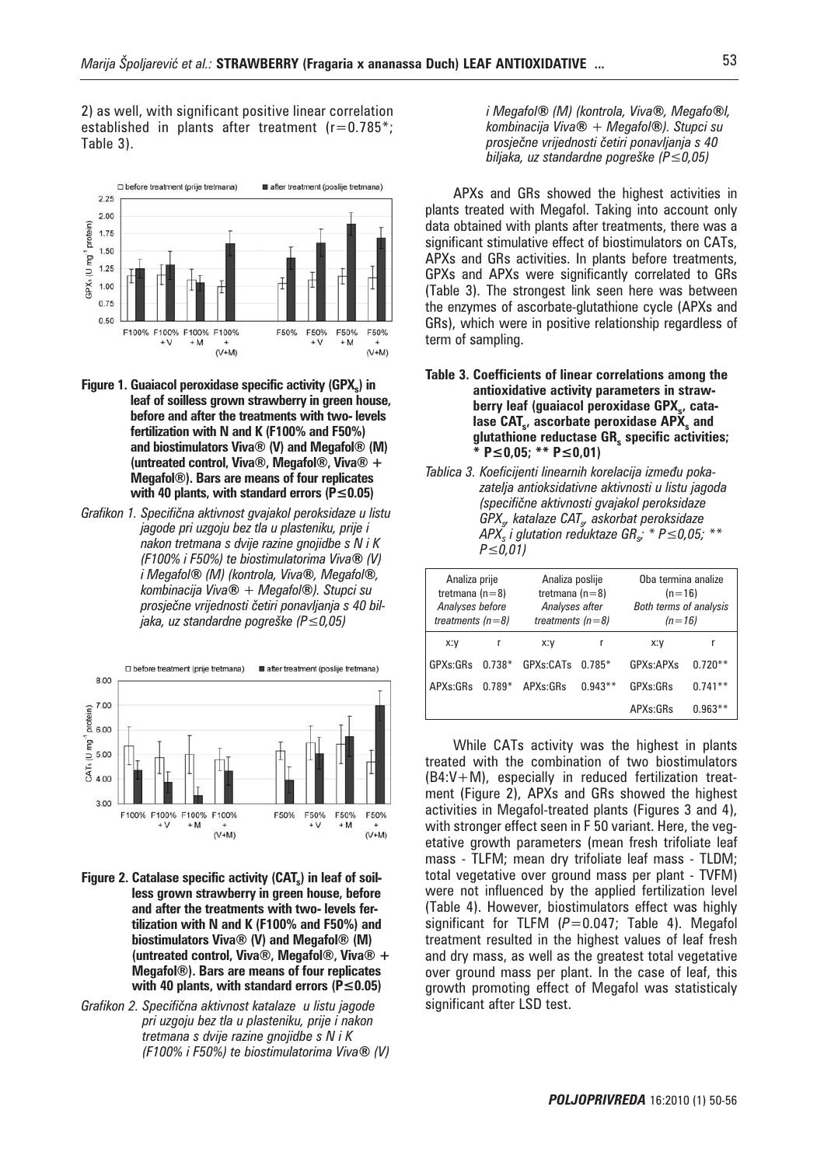2) as well, with significant positive linear correlation established in plants after treatment  $(r=0.785^*)$ ; Table 3).



- **Figure 1. Guaiacol peroxidase specific activity (GPX.) in leaf of soilless grown strawberry in green house, before and after the treatments with two- levels fertilization with N and K (F100% and F50%) and biostimulators Viva® (V) and Megafol® (M) (untreated control, Viva®, Megafol®, Viva® + Megafol®). Bars are means of four replicates with 40 plants, with standard errors (P≤0.05)**
- *Grafikon 1. Specifi~na aktivnost gvajakol peroksidaze u listu jagode pri uzgoju bez tla u plasteniku, prije i nakon tretmana s dvije razine gnojidbe s N i K (F100% i F50%) te biostimulatorima Viva***®** *(V) i Megafol***®** *(M) (kontrola, Viva***®***, Megafol***®***, kombinacija Viva***®** *+ Megafol***®***). Stupci su*  prosječne vrijednosti četiri ponavljanja s 40 bil*jaka, uz standardne pogreške (P≤0,05)*



- Figure 2. Catalase specific activity (CAT<sub>s</sub>) in leaf of soil**less grown strawberry in green house, before and after the treatments with two- levels fertilization with N and K (F100% and F50%) and biostimulators Viva® (V) and Megafol® (M) (untreated control, Viva®, Megafol®, Viva® + Megafol®). Bars are means of four replicates with 40 plants, with standard errors (P≤0.05)**
- *Grafikon 2. Specifična aktivnost katalaze u listu jagode pri uzgoju bez tla u plasteniku, prije i nakon tretmana s dvije razine gnojidbe s N i K (F100% i F50%) te biostimulatorima Viva***®** *(V)*

*i Megafol***®** *(M) (kontrola, Viva***®***, Megafo***®***l, kombinacija Viva***®** *+ Megafol***®***). Stupci su*  prosječne vrijednosti četiri ponavljanja s 40 *biljaka, uz standardne pogre{ke (P≤0,05)*

APXs and GRs showed the highest activities in plants treated with Megafol. Taking into account only data obtained with plants after treatments, there was a significant stimulative effect of biostimulators on CATs, APXs and GRs activities. In plants before treatments, GPXs and APXs were significantly correlated to GRs (Table 3). The strongest link seen here was between the enzymes of ascorbate-glutathione cycle (APXs and GRs), which were in positive relationship regardless of term of sampling.

- **Table 3. Coefficients of linear correlations among the antioxidative activity parameters in straw**berry leaf (guaiacol peroxidase GPX<sub>s</sub>, catalase CAT<sub>s</sub>, ascorbate peroxidase APX<sub>s</sub> and glutathione reductase GR<sub>s</sub> specific activities; **\* P≤0,05; \*\* P≤0,01)**
- Tablica 3. Koeficijenti linearnih korelacija između poka*zatelja antioksidativne aktivnosti u listu jagoda (specifi~ne aktivnosti gvajakol peroksidaze GPXs, katalaze CATs, askorbat peroksidaze APX*<sup>*s*</sup> *i glutation reduktaze GR<sub>s</sub><sup><i>\**</sup> *P* ≤0,05; <sup>\*\*</sup> *P≤0,01)*

| Analiza prije<br>tretmana $(n=8)$<br>Analyses before<br>treatments $(n=8)$ |          | Analiza poslije<br>tretmana $(n=8)$<br>Analyses after<br>treatments $(n=8)$ |           | Oba termina analize<br>$(n=16)$<br><b>Both terms of analysis</b><br>$(n=16)$ |           |
|----------------------------------------------------------------------------|----------|-----------------------------------------------------------------------------|-----------|------------------------------------------------------------------------------|-----------|
| x:y                                                                        | r        | X:V                                                                         | r         | X:V                                                                          | r         |
| GPXs:GRs                                                                   | $0.738*$ | GPXs:CATs                                                                   | $0.785*$  | <b>GPXs:APXs</b>                                                             | $0.720**$ |
| APXs:GRs                                                                   | $0.789*$ | APXs: GRs                                                                   | $0.943**$ | GPXs:GRs                                                                     | $0.741**$ |
|                                                                            |          |                                                                             |           | APXs:GRs                                                                     | $0.963**$ |

While CATs activity was the highest in plants treated with the combination of two biostimulators (B4:V+M), especially in reduced fertilization treatment (Figure 2), APXs and GRs showed the highest activities in Megafol-treated plants (Figures 3 and 4), with stronger effect seen in F 50 variant. Here, the vegetative growth parameters (mean fresh trifoliate leaf mass - TLFM; mean dry trifoliate leaf mass - TLDM; total vegetative over ground mass per plant - TVFM) were not influenced by the applied fertilization level (Table 4). However, biostimulators effect was highly significant for TLFM (P=0.047; Table 4). Megafol treatment resulted in the highest values of leaf fresh and dry mass, as well as the greatest total vegetative over ground mass per plant. In the case of leaf, this growth promoting effect of Megafol was statisticaly significant after LSD test.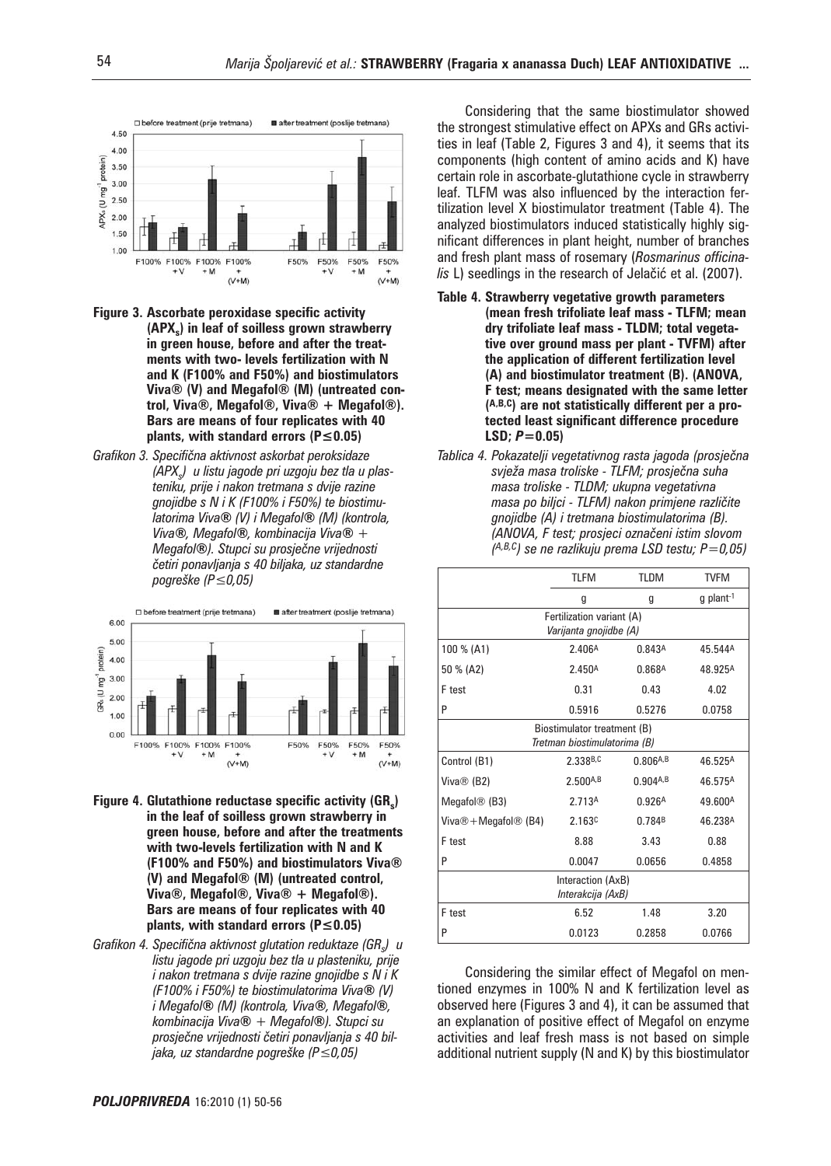

- **Figure 3. Ascorbate peroxidase specific activity (APXs) in leaf of soilless grown strawberry in green house, before and after the treatments with two- levels fertilization with N and K (F100% and F50%) and biostimulators Viva® (V) and Megafol® (M) (untreated control, Viva®, Megafol®, Viva® + Megafol®). Bars are means of four replicates with 40 plants, with standard errors (P≤0.05)**
- Grafikon 3. Specifična aktivnost askorbat peroksidaze *(APXs) u listu jagode pri uzgoju bez tla u plasteniku, prije i nakon tretmana s dvije razine gnojidbe s N i K (F100% i F50%) te biostimulatorima Viva***®** *(V) i Megafol***®** *(M) (kontrola, Viva***®***, Megafol***®***, kombinacija Viva***®** *+ Megafol***®***). Stupci su prosje~ne vrijednosti ~etiri ponavljanja s 40 biljaka, uz standardne pogre{ke (P≤0,05)*



- **Figure 4. Glutathione reductase specific activity (GRs) in the leaf of soilless grown strawberry in green house, before and after the treatments with two-levels fertilization with N and K (F100% and F50%) and biostimulators Viva® (V) and Megafol® (M) (untreated control, Viva®, Megafol®, Viva® + Megafol®). Bars are means of four replicates with 40 plants, with standard errors (P≤0.05)**
- *Grafikon 4. Specifična aktivnost glutation reduktaze (GR) u listu jagode pri uzgoju bez tla u plasteniku, prije i nakon tretmana s dvije razine gnojidbe s N i K (F100% i F50%) te biostimulatorima Viva***®** *(V) i Megafol***®** *(M) (kontrola, Viva***®***, Megafol***®***, kombinacija Viva***®** *+ Megafol***®***). Stupci su*  prosječne vrijednosti četiri ponavljanja s 40 bil*jaka, uz standardne pogreške (P≤0,05)*

Considering that the same biostimulator showed the strongest stimulative effect on APXs and GRs activities in leaf (Table 2, Figures 3 and 4), it seems that its components (high content of amino acids and K) have certain role in ascorbate-glutathione cycle in strawberry leaf. TLFM was also influenced by the interaction fertilization level X biostimulator treatment (Table 4). The analyzed biostimulators induced statistically highly significant differences in plant height, number of branches and fresh plant mass of rosemary (*Rosmarinus officinalis* L) seedlings in the research of Jelačić et al. (2007).

- **Table 4. Strawberry vegetative growth parameters (mean fresh trifoliate leaf mass - TLFM; mean dry trifoliate leaf mass - TLDM; total vegetative over ground mass per plant - TVFM) after the application of different fertilization level (A) and biostimulator treatment (B). (ANOVA, F test; means designated with the same letter (A,B,C) are not statistically different per a protected least significant difference procedure LSD;** *P***=0.05)**
- Tablica 4. Pokazatelji vegetativnog rasta jagoda (prosječna  $s$ vježa masa troliske - TLFM; prosječna suha *masa troliske - TLDM; ukupna vegetativna masa po biljci - TLFM) nakon primjene različite gnojidbe (A) i tretmana biostimulatorima (B). (ANOVA, F test; prosjeci ozna~eni istim slovom (A,B,C) se ne razlikuju prema LSD testu; P=0,05)*

|                                                             | <b>TLFM</b>               | <b>TLDM</b>          | <b>TVFM</b>         |  |  |  |
|-------------------------------------------------------------|---------------------------|----------------------|---------------------|--|--|--|
|                                                             | g                         | g                    | g plant-1           |  |  |  |
|                                                             | Fertilization variant (A) |                      |                     |  |  |  |
|                                                             | Varijanta gnojidbe (A)    |                      |                     |  |  |  |
| 100 % (A1)                                                  | 2.406 <sup>A</sup>        | 0.843A               | 45.544A             |  |  |  |
| 50 % (A2)                                                   | 2.450 <sup>A</sup>        | 0.868 <sup>A</sup>   | 48.925 <sup>A</sup> |  |  |  |
| F test                                                      | 0.31                      | 0.43                 | 4.02                |  |  |  |
| P                                                           | 0.5916                    | 0.5276               | 0.0758              |  |  |  |
| Biostimulator treatment (B)<br>Tretman biostimulatorima (B) |                           |                      |                     |  |  |  |
| Control (B1)                                                | 2.338B,C                  | 0.806 <sub>A,B</sub> | 46.525A             |  |  |  |
| Viva® (B2)                                                  | 2.500 <sub>A,B</sub>      | 0.904A,B             | 46.575A             |  |  |  |
| Megafol $\circledR$ (B3)                                    | 2.713A                    | 0.926A               | 49.600A             |  |  |  |
| Viva $\circledR$ + Megafol $\circledR$ (B4)                 | 2.163c                    | 0.784B               | 46.238A             |  |  |  |
| F test                                                      | 8.88                      | 3.43                 | 0.88                |  |  |  |
| P                                                           | 0.0047                    | 0.0656               | 0.4858              |  |  |  |
| Interaction (AxB)<br>Interakcija (AxB)                      |                           |                      |                     |  |  |  |
| F test                                                      | 6.52                      | 1.48                 | 3.20                |  |  |  |
| P                                                           | 0.0123                    | 0.2858               | 0.0766              |  |  |  |

Considering the similar effect of Megafol on mentioned enzymes in 100% N and K fertilization level as observed here (Figures 3 and 4), it can be assumed that an explanation of positive effect of Megafol on enzyme activities and leaf fresh mass is not based on simple additional nutrient supply (N and K) by this biostimulator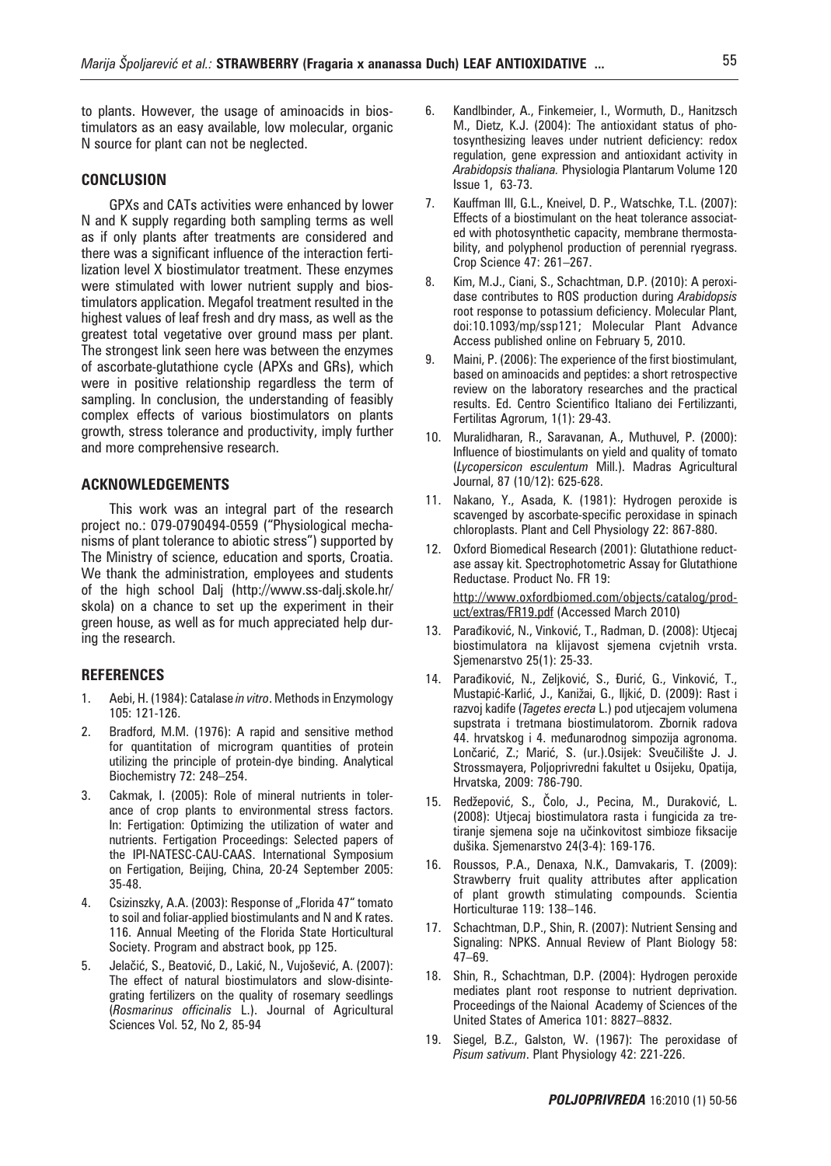to plants. However, the usage of aminoacids in biostimulators as an easy available, low molecular, organic N source for plant can not be neglected.

# **CONCLUSION**

GPXs and CATs activities were enhanced by lower N and K supply regarding both sampling terms as well as if only plants after treatments are considered and there was a significant influence of the interaction fertilization level X biostimulator treatment. These enzymes were stimulated with lower nutrient supply and biostimulators application. Megafol treatment resulted in the highest values of leaf fresh and dry mass, as well as the greatest total vegetative over ground mass per plant. The strongest link seen here was between the enzymes of ascorbate-glutathione cycle (APXs and GRs), which were in positive relationship regardless the term of sampling. In conclusion, the understanding of feasibly complex effects of various biostimulators on plants growth, stress tolerance and productivity, imply further and more comprehensive research.

## **ACKNOWLEDGEMENTS**

This work was an integral part of the research project no.: 079-0790494-0559 ("Physiological mechanisms of plant tolerance to abiotic stress") supported by The Ministry of science, education and sports, Croatia. We thank the administration, employees and students of the high school Dalj (http://www.ss-dalj.skole.hr/ skola) on a chance to set up the experiment in their green house, as well as for much appreciated help during the research.

## **REFERENCES**

- 1. Aebi, H. (1984): Catalase *in vitro*. Methods in Enzymology 105: 121-126.
- 2. Bradford, M.M. (1976): A rapid and sensitive method for quantitation of microgram quantities of protein utilizing the principle of protein-dye binding. Analytical Biochemistry 72: 248–254.
- 3. Cakmak, I. (2005): Role of mineral nutrients in tolerance of crop plants to environmental stress factors. In: Fertigation: Optimizing the utilization of water and nutrients. Fertigation Proceedings: Selected papers of the IPI-NATESC-CAU-CAAS. International Symposium on Fertigation, Beijing, China, 20-24 September 2005: 35-48.
- 4. Csizinszky, A.A. (2003): Response of "Florida 47" tomato to soil and foliar-applied biostimulants and N and K rates. 116. Annual Meeting of the Florida State Horticultural Society. Program and abstract book, pp 125.
- 5. Jelačić, S., Beatović, D., Lakić, N., Vujošević, A. (2007): The effect of natural biostimulators and slow-disintegrating fertilizers on the quality of rosemary seedlings (*Rosmarinus officinalis* L.). Journal of Agricultural Sciences Vol. 52, No 2, 85-94
- 6. Kandlbinder, A., Finkemeier, I., Wormuth, D., Hanitzsch M., Dietz, K.J. (2004): The antioxidant status of photosynthesizing leaves under nutrient deficiency: redox regulation, gene expression and antioxidant activity in *Arabidopsis thaliana.* Physiologia Plantarum Volume 120 Issue 1, 63-73.
- 7. Kauffman III, G.L., Kneivel, D. P., Watschke, T.L. (2007): Effects of a biostimulant on the heat tolerance associated with photosynthetic capacity, membrane thermostability, and polyphenol production of perennial ryegrass. Crop Science 47: 261–267.
- 8. Kim, M.J., Ciani, S., Schachtman, D.P. (2010): A peroxidase contributes to ROS production during *Arabidopsis* root response to potassium deficiency. Molecular Plant, doi:10.1093/mp/ssp121; Molecular Plant Advance Access published online on February 5, 2010.
- 9. Maini, P. (2006): The experience of the first biostimulant, based on aminoacids and peptides: a short retrospective review on the laboratory researches and the practical results. Ed. Centro Scientifico Italiano dei Fertilizzanti, Fertilitas Agrorum, 1(1): 29-43.
- 10. Muralidharan, R., Saravanan, A., Muthuvel, P. (2000): Influence of biostimulants on yield and quality of tomato (*Lycopersicon esculentum* Mill.). Madras Agricultural Journal, 87 (10/12): 625-628.
- 11. Nakano, Y., Asada, K. (1981): Hydrogen peroxide is scavenged by ascorbate-specific peroxidase in spinach chloroplasts. Plant and Cell Physiology 22: 867-880.
- 12. Oxford Biomedical Research (2001): Glutathione reductase assay kit. Spectrophotometric Assay for Glutathione Reductase. Product No. FR 19:

 http://www.oxfordbiomed.com/objects/catalog/product/extras/FR19.pdf (Accessed March 2010)

- 13. Parađiković, N., Vinković, T., Radman, D. (2008): Utjecaj biostimulatora na klijavost sjemena cvjetnih vrsta. Sjemenarstvo 25(1): 25-33.
- 14. Parađiković, N., Zeljković, S., Đurić, G., Vinković, T., Mustapić-Karlić, J., Kanižai, G., Iljkić, D. (2009): Rast i razvoj kadife (*Tagetes erecta* L.) pod utjecajem volumena supstrata i tretmana biostimulatorom. Zbornik radova 44. hrvatskog i 4. međunarodnog simpozija agronoma. Lončarić, Z.; Marić, S. (ur.).Osijek: Sveučilište J. J. Strossmayera, Poljoprivredni fakultet u Osijeku, Opatija, Hrvatska, 2009: 786-790.
- 15. Redžepović, S., Čolo, J., Pecina, M., Duraković, L. (2008): Utjecaj biostimulatora rasta i fungicida za tretiranje sjemena soje na učinkovitost simbioze fiksacije dušika. Sjemenarstvo 24(3-4): 169-176.
- 16. Roussos, P.A., Denaxa, N.K., Damvakaris, T. (2009): Strawberry fruit quality attributes after application of plant growth stimulating compounds. Scientia Horticulturae 119: 138–146.
- 17. Schachtman, D.P., Shin, R. (2007): Nutrient Sensing and Signaling: NPKS. Annual Review of Plant Biology 58: 47–69.
- 18. Shin, R., Schachtman, D.P. (2004): Hydrogen peroxide mediates plant root response to nutrient deprivation. Proceedings of the Naional Academy of Sciences of the United States of America 101: 8827–8832.
- 19. Siegel, B.Z., Galston, W. (1967): The peroxidase of *Pisum sativum*. Plant Physiology 42: 221-226.